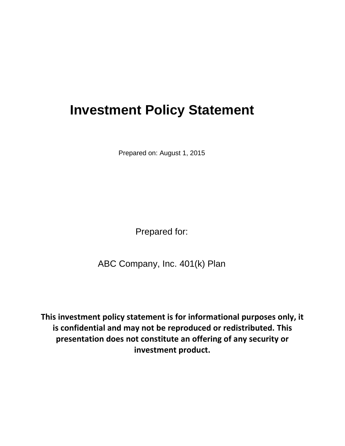# **Investment Policy Statement**

Prepared on: August 1, 2015

Prepared for:

ABC Company, Inc. 401(k) Plan

**This investment policy statement is for informational purposes only, it is confidential and may not be reproduced or redistributed. This presentation does not constitute an offering of any security or investment product.**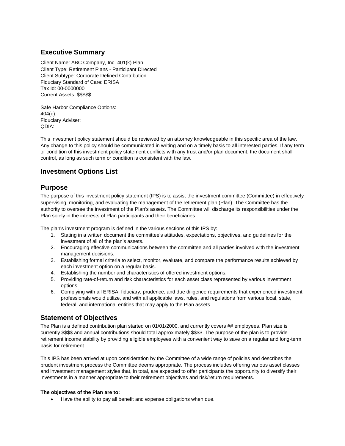### **Executive Summary**

Client Name: ABC Company, Inc. 401(k) Plan Client Type: Retirement Plans - Participant Directed Client Subtype: Corporate Defined Contribution Fiduciary Standard of Care: ERISA Tax Id: 00-0000000 Current Assets: \$\$\$\$\$

Safe Harbor Compliance Options: 404(c): Fiduciary Adviser: QDIA:

This investment policy statement should be reviewed by an attorney knowledgeable in this specific area of the law. Any change to this policy should be communicated in writing and on a timely basis to all interested parties. If any term or condition of this investment policy statement conflicts with any trust and/or plan document, the document shall control, as long as such term or condition is consistent with the law.

#### **Investment Options List**

#### **Purpose**

The purpose of this investment policy statement (IPS) is to assist the investment committee (Committee) in effectively supervising, monitoring, and evaluating the management of the retirement plan (Plan). The Committee has the authority to oversee the investment of the Plan's assets. The Committee will discharge its responsibilities under the Plan solely in the interests of Plan participants and their beneficiaries.

The plan's investment program is defined in the various sections of this IPS by:

- 1. Stating in a written document the committee's attitudes, expectations, objectives, and guidelines for the investment of all of the plan's assets.
- 2. Encouraging effective communications between the committee and all parties involved with the investment management decisions.
- 3. Establishing formal criteria to select, monitor, evaluate, and compare the performance results achieved by each investment option on a regular basis.
- 4. Establishing the number and characteristics of offered investment options.
- 5. Providing rate-of-return and risk characteristics for each asset class represented by various investment options.
- 6. Complying with all ERISA, fiduciary, prudence, and due diligence requirements that experienced investment professionals would utilize, and with all applicable laws, rules, and regulations from various local, state, federal, and international entities that may apply to the Plan assets.

#### **Statement of Objectives**

The Plan is a defined contribution plan started on 01/01/2000, and currently covers ## employees. Plan size is currently \$\$\$\$ and annual contributions should total approximately \$\$\$\$. The purpose of the plan is to provide retirement income stability by providing eligible employees with a convenient way to save on a regular and long-term basis for retirement.

This IPS has been arrived at upon consideration by the Committee of a wide range of policies and describes the prudent investment process the Committee deems appropriate. The process includes offering various asset classes and investment management styles that, in total, are expected to offer participants the opportunity to diversify their investments in a manner appropriate to their retirement objectives and risk/return requirements.

#### **The objectives of the Plan are to:**

Have the ability to pay all benefit and expense obligations when due.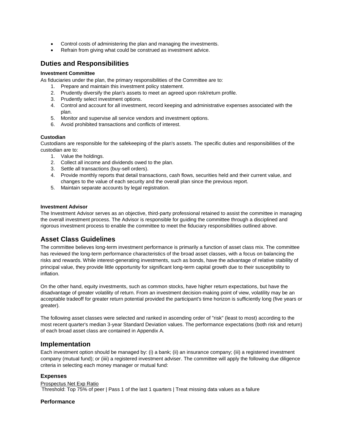- Control costs of administering the plan and managing the investments.
- Refrain from giving what could be construed as investment advice.

#### **Duties and Responsibilities**

#### **Investment Committee**

As fiduciaries under the plan, the primary responsibilities of the Committee are to:

- 1. Prepare and maintain this investment policy statement.
- 2. Prudently diversify the plan's assets to meet an agreed upon risk/return profile.
- 3. Prudently select investment options.
- 4. Control and account for all investment, record keeping and administrative expenses associated with the plan.
- 5. Monitor and supervise all service vendors and investment options.
- 6. Avoid prohibited transactions and conflicts of interest.

#### **Custodian**

Custodians are responsible for the safekeeping of the plan's assets. The specific duties and responsibilities of the custodian are to:

- 1. Value the holdings.
- 2. Collect all income and dividends owed to the plan.
- 3. Settle all transactions (buy-sell orders).
- 4. Provide monthly reports that detail transactions, cash flows, securities held and their current value, and changes to the value of each security and the overall plan since the previous report.
- 5. Maintain separate accounts by legal registration.

#### **Investment Advisor**

The Investment Advisor serves as an objective, third-party professional retained to assist the committee in managing the overall investment process. The Advisor is responsible for guiding the committee through a disciplined and rigorous investment process to enable the committee to meet the fiduciary responsibilities outlined above.

#### **Asset Class Guidelines**

The committee believes long-term investment performance is primarily a function of asset class mix. The committee has reviewed the long-term performance characteristics of the broad asset classes, with a focus on balancing the risks and rewards. While interest-generating investments, such as bonds, have the advantage of relative stability of principal value, they provide little opportunity for significant long-term capital growth due to their susceptibility to inflation.

On the other hand, equity investments, such as common stocks, have higher return expectations, but have the disadvantage of greater volatility of return. From an investment decision-making point of view, volatility may be an acceptable tradeoff for greater return potential provided the participant's time horizon is sufficiently long (five years or greater).

The following asset classes were selected and ranked in ascending order of "risk" (least to most) according to the most recent quarter's median 3-year Standard Deviation values. The performance expectations (both risk and return) of each broad asset class are contained in Appendix A.

#### **Implementation**

Each investment option should be managed by: (i) a bank; (ii) an insurance company; (iii) a registered investment company (mutual fund); or (iiii) a registered investment adviser. The committee will apply the following due diligence criteria in selecting each money manager or mutual fund:

#### **Expenses**

Prospectus Net Exp Ratio Threshold: Top 75% of peer | Pass 1 of the last 1 quarters | Treat missing data values as a failure

#### **Performance**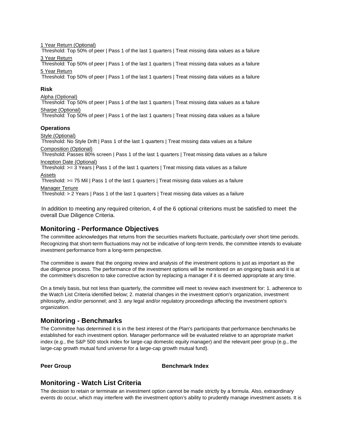1 Year Return (Optional)

Threshold: Top 50% of peer | Pass 1 of the last 1 quarters | Treat missing data values as a failure 3 Year Return

Threshold: Top 50% of peer | Pass 1 of the last 1 quarters | Treat missing data values as a failure 5 Year Return

Threshold: Top 50% of peer | Pass 1 of the last 1 quarters | Treat missing data values as a failure

#### **Risk**

Alpha (Optional)

Threshold: Top 50% of peer | Pass 1 of the last 1 quarters | Treat missing data values as a failure Sharpe (Optional)

Threshold: Top 50% of peer | Pass 1 of the last 1 quarters | Treat missing data values as a failure

#### **Operations**

Style (Optional)

Threshold: No Style Drift | Pass 1 of the last 1 quarters | Treat missing data values as a failure Composition (Optional)

Threshold: Passes 80% screen | Pass 1 of the last 1 quarters | Treat missing data values as a failure Inception Date (Optional)

Threshold: >= 3 Years | Pass 1 of the last 1 quarters | Treat missing data values as a failure Assets

Threshold: >= 75 Mil | Pass 1 of the last 1 quarters | Treat missing data values as a failure Manager Tenure

Threshold: > 2 Years | Pass 1 of the last 1 quarters | Treat missing data values as a failure

In addition to meeting any required criterion, 4 of the 6 optional criterions must be satisfied to meet the overall Due Diligence Criteria.

#### **Monitoring - Performance Objectives**

The committee acknowledges that returns from the securities markets fluctuate, particularly over short time periods. Recognizing that short-term fluctuations may not be indicative of long-term trends, the committee intends to evaluate investment performance from a long-term perspective.

The committee is aware that the ongoing review and analysis of the investment options is just as important as the due diligence process. The performance of the investment options will be monitored on an ongoing basis and it is at the committee's discretion to take corrective action by replacing a manager if it is deemed appropriate at any time.

On a timely basis, but not less than quarterly, the committee will meet to review each investment for: 1. adherence to the Watch List Criteria identified below; 2. material changes in the investment option's organization, investment philosophy, and/or personnel; and 3. any legal and/or regulatory proceedings affecting the investment option's organization.

#### **Monitoring - Benchmarks**

The Committee has determined it is in the best interest of the Plan's participants that performance benchmarks be established for each investment option. Manager performance will be evaluated relative to an appropriate market index (e.g., the S&P 500 stock index for large-cap domestic equity manager) and the relevant peer group (e.g., the large-cap growth mutual fund universe for a large-cap growth mutual fund).

#### **Peer Group Benchmark Index**

#### **Monitoring - Watch List Criteria**

The decision to retain or terminate an investment option cannot be made strictly by a formula. Also, extraordinary events do occur, which may interfere with the investment option's ability to prudently manage investment assets. It is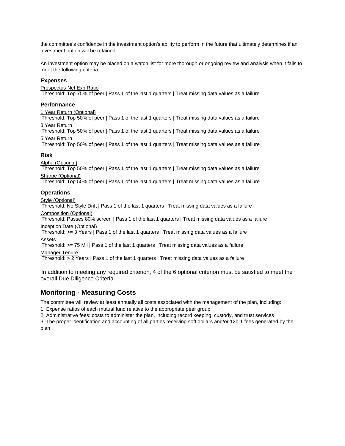the committee's confidence in the investment option's ability to perform in the future that ultimately determines if an investment option will be retained.

An investment option may be placed on a watch list for more thorough or ongoing review and analysis when it fails to meet the following criteria:

#### **Expenses**

#### Prospectus Net Exp Ratio

Threshold: Top 75% of peer | Pass 1 of the last 1 quarters | Treat missing data values as a failure

#### **Performance**

#### 1 Year Return (Optional)

Threshold: Top 50% of peer | Pass 1 of the last 1 quarters | Treat missing data values as a failure 3 Year Return

Threshold: Top 50% of peer | Pass 1 of the last 1 quarters | Treat missing data values as a failure 5 Year Return

Threshold: Top 50% of peer | Pass 1 of the last 1 quarters | Treat missing data values as a failure

#### **Risk**

Alpha (Optional)

Threshold: Top 50% of peer | Pass 1 of the last 1 quarters | Treat missing data values as a failure Sharpe (Optional)

Threshold: Top 50% of peer | Pass 1 of the last 1 quarters | Treat missing data values as a failure

#### **Operations**

Style (Optional)

Threshold: No Style Drift | Pass 1 of the last 1 quarters | Treat missing data values as a failure Composition (Optional)

Threshold: Passes 80% screen | Pass 1 of the last 1 quarters | Treat missing data values as a failure Inception Date (Optional)

Threshold:  $>= 3$  Years | Pass 1 of the last 1 quarters | Treat missing data values as a failure Assets

Threshold: >= 75 Mil | Pass 1 of the last 1 quarters | Treat missing data values as a failure Manager Tenure

Threshold: > 2 Years | Pass 1 of the last 1 quarters | Treat missing data values as a failure

In addition to meeting any required criterion, 4 of the 6 optional criterion must be satisfied to meet the overall Due Diligence Criteria.

#### **Monitoring - Measuring Costs**

The committee will review at least annually all costs associated with the management of the plan, including:

1. Expense ratios of each mutual fund relative to the appropriate peer group

2. Administrative fees: costs to administer the plan, including record keeping, custody, and trust services

3. The proper identification and accounting of all parties receiving soft dollars and/or 12b-1 fees generated by the plan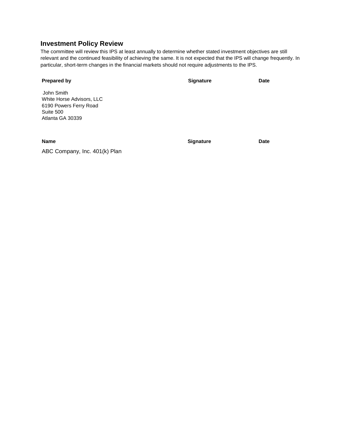#### **Investment Policy Review**

ABC Company, Inc. 401(k) Plan

The committee will review this IPS at least annually to determine whether stated investment objectives are still relevant and the continued feasibility of achieving the same. It is not expected that the IPS will change frequently. In particular, short-term changes in the financial markets should not require adjustments to the IPS.

| <b>Prepared by</b>                                                                                 | <b>Signature</b> | <b>Date</b> |
|----------------------------------------------------------------------------------------------------|------------------|-------------|
| John Smith<br>White Horse Advisors, LLC<br>6190 Powers Ferry Road<br>Suite 500<br>Atlanta GA 30339 |                  |             |

**Name Date Date Signature Date**